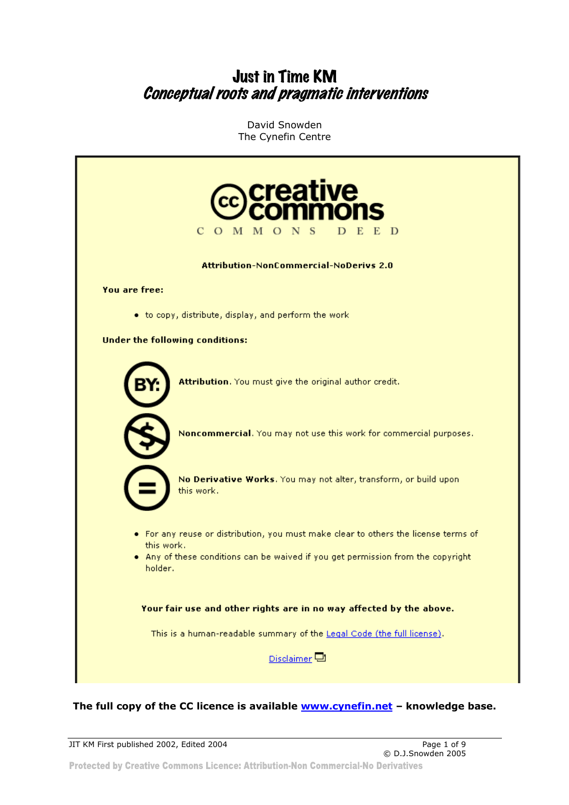## Just in Time KM Conceptual roots and pragmatic interventions

David Snowden The Cynefin Centre



#### **The full copy of the CC licence is available www.cynefin.net – knowledge base.**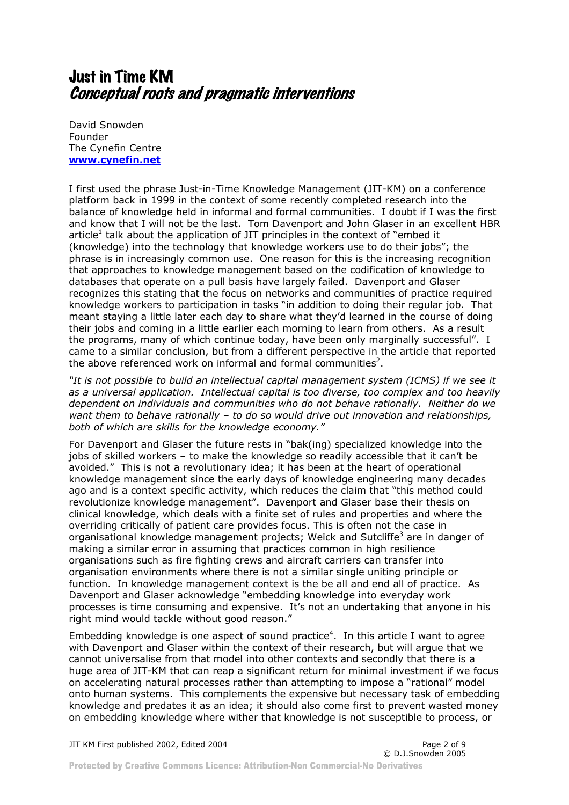# Just in Time KM Conceptual roots and pragmatic interventions

David Snowden Founder The Cynefin Centre **www.cynefin.net**

I first used the phrase Just-in-Time Knowledge Management (JIT-KM) on a conference platform back in 1999 in the context of some recently completed research into the balance of knowledge held in informal and formal communities. I doubt if I was the first and know that I will not be the last. Tom Davenport and John Glaser in an excellent HBR article<sup>1</sup> talk about the application of JIT principles in the context of "embed it (knowledge) into the technology that knowledge workers use to do their jobs"; the phrase is in increasingly common use. One reason for this is the increasing recognition that approaches to knowledge management based on the codification of knowledge to databases that operate on a pull basis have largely failed. Davenport and Glaser recognizes this stating that the focus on networks and communities of practice required knowledge workers to participation in tasks "in addition to doing their regular job. That meant staying a little later each day to share what they'd learned in the course of doing their jobs and coming in a little earlier each morning to learn from others. As a result the programs, many of which continue today, have been only marginally successful". I came to a similar conclusion, but from a different perspective in the article that reported the above referenced work on informal and formal communities<sup>2</sup>.

*"It is not possible to build an intellectual capital management system (ICMS) if we see it as a universal application. Intellectual capital is too diverse, too complex and too heavily dependent on individuals and communities who do not behave rationally. Neither do we want them to behave rationally – to do so would drive out innovation and relationships, both of which are skills for the knowledge economy."* 

For Davenport and Glaser the future rests in "bak(ing) specialized knowledge into the jobs of skilled workers – to make the knowledge so readily accessible that it can't be avoided." This is not a revolutionary idea; it has been at the heart of operational knowledge management since the early days of knowledge engineering many decades ago and is a context specific activity, which reduces the claim that "this method could revolutionize knowledge management". Davenport and Glaser base their thesis on clinical knowledge, which deals with a finite set of rules and properties and where the overriding critically of patient care provides focus. This is often not the case in organisational knowledge management projects; Weick and Sutcliffe<sup>3</sup> are in danger of making a similar error in assuming that practices common in high resilience organisations such as fire fighting crews and aircraft carriers can transfer into organisation environments where there is not a similar single uniting principle or function. In knowledge management context is the be all and end all of practice. As Davenport and Glaser acknowledge "embedding knowledge into everyday work processes is time consuming and expensive. It's not an undertaking that anyone in his right mind would tackle without good reason."

Embedding knowledge is one aspect of sound practice<sup>4</sup>. In this article I want to agree with Davenport and Glaser within the context of their research, but will argue that we cannot universalise from that model into other contexts and secondly that there is a huge area of JIT-KM that can reap a significant return for minimal investment if we focus on accelerating natural processes rather than attempting to impose a "rational" model onto human systems. This complements the expensive but necessary task of embedding knowledge and predates it as an idea; it should also come first to prevent wasted money on embedding knowledge where wither that knowledge is not susceptible to process, or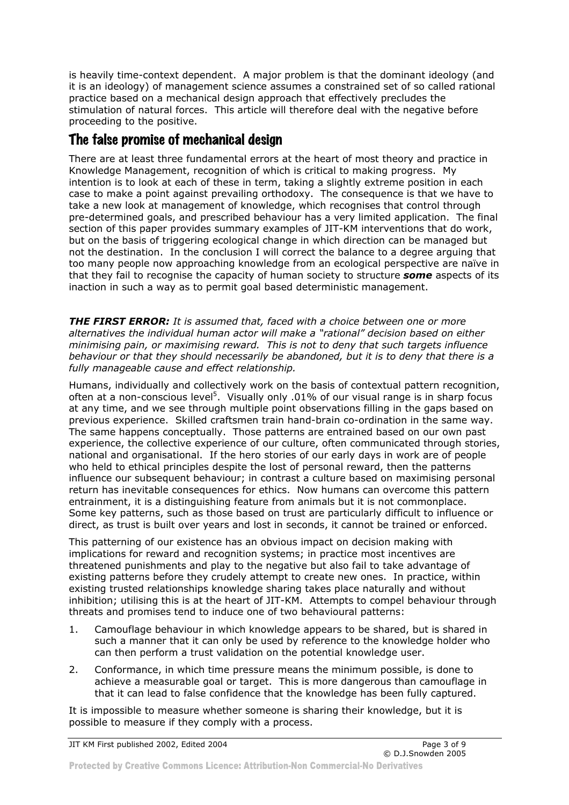is heavily time-context dependent. A major problem is that the dominant ideology (and it is an ideology) of management science assumes a constrained set of so called rational practice based on a mechanical design approach that effectively precludes the stimulation of natural forces. This article will therefore deal with the negative before proceeding to the positive.

## The false promise of mechanical design

There are at least three fundamental errors at the heart of most theory and practice in Knowledge Management, recognition of which is critical to making progress. My intention is to look at each of these in term, taking a slightly extreme position in each case to make a point against prevailing orthodoxy. The consequence is that we have to take a new look at management of knowledge, which recognises that control through pre-determined goals, and prescribed behaviour has a very limited application. The final section of this paper provides summary examples of JIT-KM interventions that do work, but on the basis of triggering ecological change in which direction can be managed but not the destination. In the conclusion I will correct the balance to a degree arguing that too many people now approaching knowledge from an ecological perspective are naïve in that they fail to recognise the capacity of human society to structure *some* aspects of its inaction in such a way as to permit goal based deterministic management.

*THE FIRST ERROR: It is assumed that, faced with a choice between one or more alternatives the individual human actor will make a "rational" decision based on either minimising pain, or maximising reward. This is not to deny that such targets influence behaviour or that they should necessarily be abandoned, but it is to deny that there is a fully manageable cause and effect relationship.* 

Humans, individually and collectively work on the basis of contextual pattern recognition, often at a non-conscious level<sup>5</sup>. Visually only .01% of our visual range is in sharp focus at any time, and we see through multiple point observations filling in the gaps based on previous experience. Skilled craftsmen train hand-brain co-ordination in the same way. The same happens conceptually. Those patterns are entrained based on our own past experience, the collective experience of our culture, often communicated through stories, national and organisational. If the hero stories of our early days in work are of people who held to ethical principles despite the lost of personal reward, then the patterns influence our subsequent behaviour; in contrast a culture based on maximising personal return has inevitable consequences for ethics. Now humans can overcome this pattern entrainment, it is a distinguishing feature from animals but it is not commonplace. Some key patterns, such as those based on trust are particularly difficult to influence or direct, as trust is built over years and lost in seconds, it cannot be trained or enforced.

This patterning of our existence has an obvious impact on decision making with implications for reward and recognition systems; in practice most incentives are threatened punishments and play to the negative but also fail to take advantage of existing patterns before they crudely attempt to create new ones. In practice, within existing trusted relationships knowledge sharing takes place naturally and without inhibition; utilising this is at the heart of JIT-KM. Attempts to compel behaviour through threats and promises tend to induce one of two behavioural patterns:

- 1. Camouflage behaviour in which knowledge appears to be shared, but is shared in such a manner that it can only be used by reference to the knowledge holder who can then perform a trust validation on the potential knowledge user.
- 2. Conformance, in which time pressure means the minimum possible, is done to achieve a measurable goal or target. This is more dangerous than camouflage in that it can lead to false confidence that the knowledge has been fully captured.

It is impossible to measure whether someone is sharing their knowledge, but it is possible to measure if they comply with a process.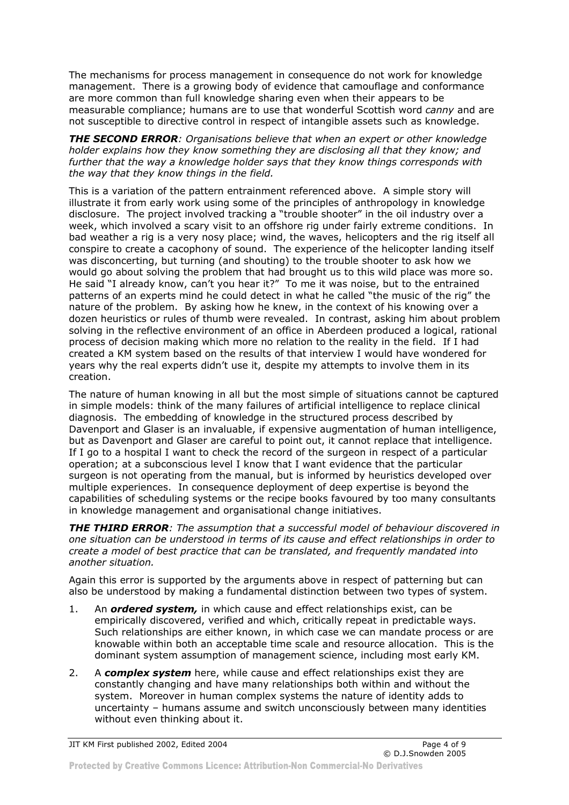The mechanisms for process management in consequence do not work for knowledge management. There is a growing body of evidence that camouflage and conformance are more common than full knowledge sharing even when their appears to be measurable compliance; humans are to use that wonderful Scottish word *canny* and are not susceptible to directive control in respect of intangible assets such as knowledge.

*THE SECOND ERROR: Organisations believe that when an expert or other knowledge holder explains how they know something they are disclosing all that they know; and further that the way a knowledge holder says that they know things corresponds with the way that they know things in the field.* 

This is a variation of the pattern entrainment referenced above. A simple story will illustrate it from early work using some of the principles of anthropology in knowledge disclosure. The project involved tracking a "trouble shooter" in the oil industry over a week, which involved a scary visit to an offshore rig under fairly extreme conditions. In bad weather a rig is a very nosy place; wind, the waves, helicopters and the rig itself all conspire to create a cacophony of sound. The experience of the helicopter landing itself was disconcerting, but turning (and shouting) to the trouble shooter to ask how we would go about solving the problem that had brought us to this wild place was more so. He said "I already know, can't you hear it?" To me it was noise, but to the entrained patterns of an experts mind he could detect in what he called "the music of the rig" the nature of the problem. By asking how he knew, in the context of his knowing over a dozen heuristics or rules of thumb were revealed. In contrast, asking him about problem solving in the reflective environment of an office in Aberdeen produced a logical, rational process of decision making which more no relation to the reality in the field. If I had created a KM system based on the results of that interview I would have wondered for years why the real experts didn't use it, despite my attempts to involve them in its creation.

The nature of human knowing in all but the most simple of situations cannot be captured in simple models: think of the many failures of artificial intelligence to replace clinical diagnosis. The embedding of knowledge in the structured process described by Davenport and Glaser is an invaluable, if expensive augmentation of human intelligence, but as Davenport and Glaser are careful to point out, it cannot replace that intelligence. If I go to a hospital I want to check the record of the surgeon in respect of a particular operation; at a subconscious level I know that I want evidence that the particular surgeon is not operating from the manual, but is informed by heuristics developed over multiple experiences. In consequence deployment of deep expertise is beyond the capabilities of scheduling systems or the recipe books favoured by too many consultants in knowledge management and organisational change initiatives.

*THE THIRD ERROR: The assumption that a successful model of behaviour discovered in one situation can be understood in terms of its cause and effect relationships in order to create a model of best practice that can be translated, and frequently mandated into another situation.* 

Again this error is supported by the arguments above in respect of patterning but can also be understood by making a fundamental distinction between two types of system.

- 1. An *ordered system,* in which cause and effect relationships exist, can be empirically discovered, verified and which, critically repeat in predictable ways. Such relationships are either known, in which case we can mandate process or are knowable within both an acceptable time scale and resource allocation. This is the dominant system assumption of management science, including most early KM.
- 2. A *complex system* here, while cause and effect relationships exist they are constantly changing and have many relationships both within and without the system. Moreover in human complex systems the nature of identity adds to uncertainty – humans assume and switch unconsciously between many identities without even thinking about it.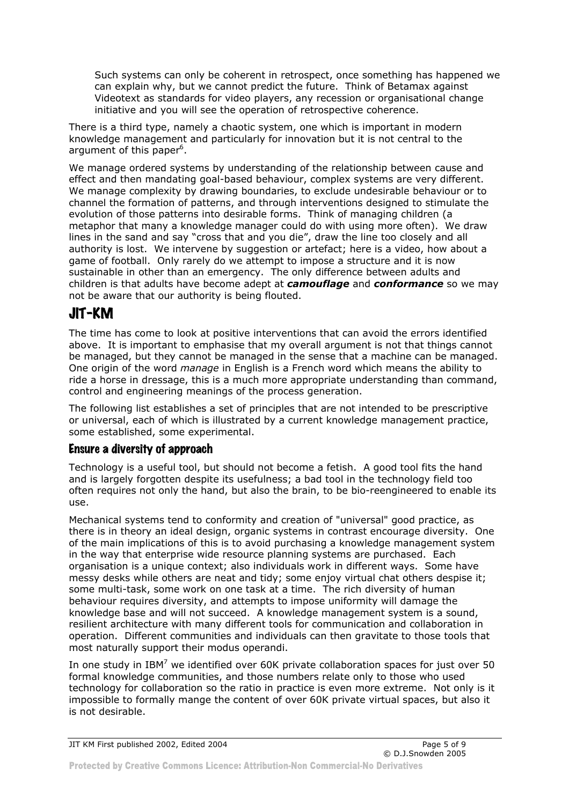Such systems can only be coherent in retrospect, once something has happened we can explain why, but we cannot predict the future. Think of Betamax against Videotext as standards for video players, any recession or organisational change initiative and you will see the operation of retrospective coherence.

There is a third type, namely a chaotic system, one which is important in modern knowledge management and particularly for innovation but it is not central to the argument of this paper<sup>6</sup>.

We manage ordered systems by understanding of the relationship between cause and effect and then mandating goal-based behaviour, complex systems are very different. We manage complexity by drawing boundaries, to exclude undesirable behaviour or to channel the formation of patterns, and through interventions designed to stimulate the evolution of those patterns into desirable forms. Think of managing children (a metaphor that many a knowledge manager could do with using more often). We draw lines in the sand and say "cross that and you die", draw the line too closely and all authority is lost. We intervene by suggestion or artefact; here is a video, how about a game of football. Only rarely do we attempt to impose a structure and it is now sustainable in other than an emergency. The only difference between adults and children is that adults have become adept at *camouflage* and *conformance* so we may not be aware that our authority is being flouted.

# JIT-KM

The time has come to look at positive interventions that can avoid the errors identified above. It is important to emphasise that my overall argument is not that things cannot be managed, but they cannot be managed in the sense that a machine can be managed. One origin of the word *manage* in English is a French word which means the ability to ride a horse in dressage, this is a much more appropriate understanding than command, control and engineering meanings of the process generation.

The following list establishes a set of principles that are not intended to be prescriptive or universal, each of which is illustrated by a current knowledge management practice, some established, some experimental.

#### Ensure a diversity of approach

Technology is a useful tool, but should not become a fetish. A good tool fits the hand and is largely forgotten despite its usefulness; a bad tool in the technology field too often requires not only the hand, but also the brain, to be bio-reengineered to enable its use.

Mechanical systems tend to conformity and creation of "universal" good practice, as there is in theory an ideal design, organic systems in contrast encourage diversity. One of the main implications of this is to avoid purchasing a knowledge management system in the way that enterprise wide resource planning systems are purchased. Each organisation is a unique context; also individuals work in different ways. Some have messy desks while others are neat and tidy; some enjoy virtual chat others despise it; some multi-task, some work on one task at a time. The rich diversity of human behaviour requires diversity, and attempts to impose uniformity will damage the knowledge base and will not succeed. A knowledge management system is a sound, resilient architecture with many different tools for communication and collaboration in operation. Different communities and individuals can then gravitate to those tools that most naturally support their modus operandi.

In one study in IBM<sup>7</sup> we identified over 60K private collaboration spaces for just over 50 formal knowledge communities, and those numbers relate only to those who used technology for collaboration so the ratio in practice is even more extreme. Not only is it impossible to formally mange the content of over 60K private virtual spaces, but also it is not desirable.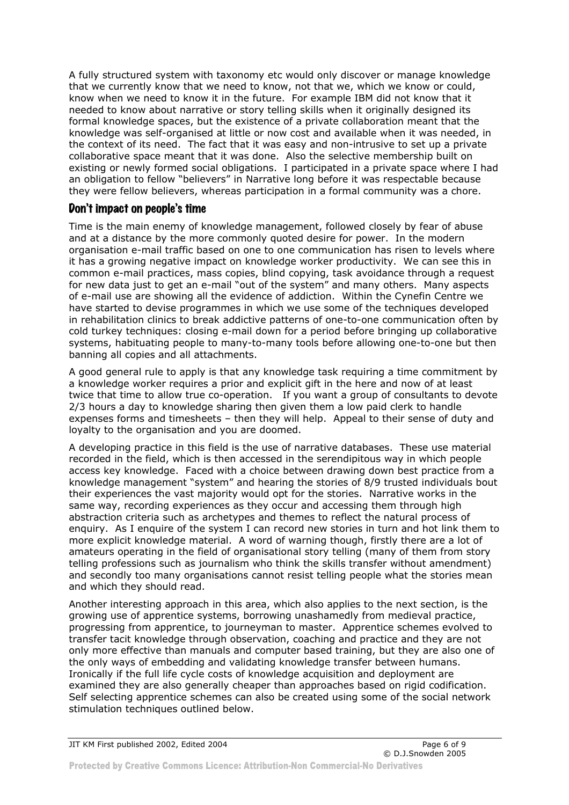A fully structured system with taxonomy etc would only discover or manage knowledge that we currently know that we need to know, not that we, which we know or could, know when we need to know it in the future. For example IBM did not know that it needed to know about narrative or story telling skills when it originally designed its formal knowledge spaces, but the existence of a private collaboration meant that the knowledge was self-organised at little or now cost and available when it was needed, in the context of its need. The fact that it was easy and non-intrusive to set up a private collaborative space meant that it was done. Also the selective membership built on existing or newly formed social obligations. I participated in a private space where I had an obligation to fellow "believers" in Narrative long before it was respectable because they were fellow believers, whereas participation in a formal community was a chore.

#### Don't impact on people's time

Time is the main enemy of knowledge management, followed closely by fear of abuse and at a distance by the more commonly quoted desire for power. In the modern organisation e-mail traffic based on one to one communication has risen to levels where it has a growing negative impact on knowledge worker productivity. We can see this in common e-mail practices, mass copies, blind copying, task avoidance through a request for new data just to get an e-mail "out of the system" and many others. Many aspects of e-mail use are showing all the evidence of addiction. Within the Cynefin Centre we have started to devise programmes in which we use some of the techniques developed in rehabilitation clinics to break addictive patterns of one-to-one communication often by cold turkey techniques: closing e-mail down for a period before bringing up collaborative systems, habituating people to many-to-many tools before allowing one-to-one but then banning all copies and all attachments.

A good general rule to apply is that any knowledge task requiring a time commitment by a knowledge worker requires a prior and explicit gift in the here and now of at least twice that time to allow true co-operation. If you want a group of consultants to devote 2/3 hours a day to knowledge sharing then given them a low paid clerk to handle expenses forms and timesheets – then they will help. Appeal to their sense of duty and loyalty to the organisation and you are doomed.

A developing practice in this field is the use of narrative databases. These use material recorded in the field, which is then accessed in the serendipitous way in which people access key knowledge. Faced with a choice between drawing down best practice from a knowledge management "system" and hearing the stories of 8/9 trusted individuals bout their experiences the vast majority would opt for the stories. Narrative works in the same way, recording experiences as they occur and accessing them through high abstraction criteria such as archetypes and themes to reflect the natural process of enquiry. As I enquire of the system I can record new stories in turn and hot link them to more explicit knowledge material. A word of warning though, firstly there are a lot of amateurs operating in the field of organisational story telling (many of them from story telling professions such as journalism who think the skills transfer without amendment) and secondly too many organisations cannot resist telling people what the stories mean and which they should read.

Another interesting approach in this area, which also applies to the next section, is the growing use of apprentice systems, borrowing unashamedly from medieval practice, progressing from apprentice, to journeyman to master. Apprentice schemes evolved to transfer tacit knowledge through observation, coaching and practice and they are not only more effective than manuals and computer based training, but they are also one of the only ways of embedding and validating knowledge transfer between humans. Ironically if the full life cycle costs of knowledge acquisition and deployment are examined they are also generally cheaper than approaches based on rigid codification. Self selecting apprentice schemes can also be created using some of the social network stimulation techniques outlined below.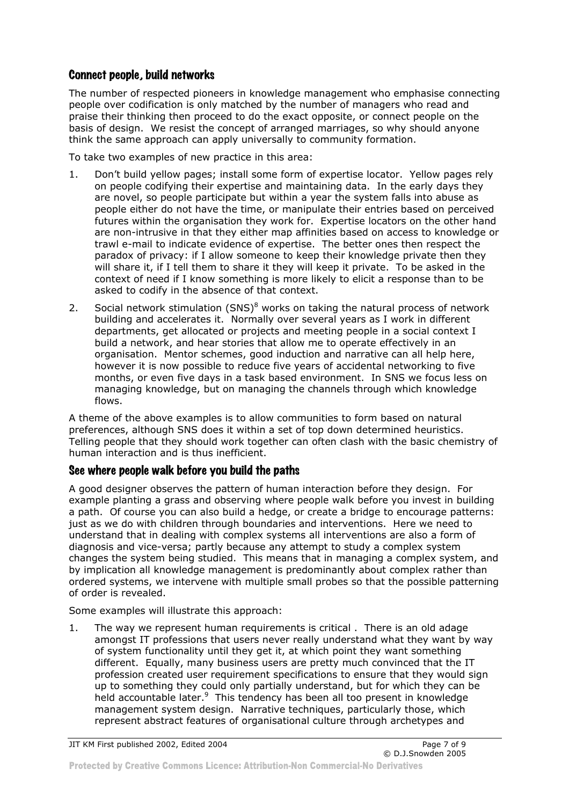#### Connect people, build networks

The number of respected pioneers in knowledge management who emphasise connecting people over codification is only matched by the number of managers who read and praise their thinking then proceed to do the exact opposite, or connect people on the basis of design. We resist the concept of arranged marriages, so why should anyone think the same approach can apply universally to community formation.

To take two examples of new practice in this area:

- 1. Don't build yellow pages; install some form of expertise locator. Yellow pages rely on people codifying their expertise and maintaining data. In the early days they are novel, so people participate but within a year the system falls into abuse as people either do not have the time, or manipulate their entries based on perceived futures within the organisation they work for. Expertise locators on the other hand are non-intrusive in that they either map affinities based on access to knowledge or trawl e-mail to indicate evidence of expertise. The better ones then respect the paradox of privacy: if I allow someone to keep their knowledge private then they will share it, if I tell them to share it they will keep it private. To be asked in the context of need if I know something is more likely to elicit a response than to be asked to codify in the absence of that context.
- 2. Social network stimulation  $(SNS)^8$  works on taking the natural process of network building and accelerates it. Normally over several years as I work in different departments, get allocated or projects and meeting people in a social context I build a network, and hear stories that allow me to operate effectively in an organisation. Mentor schemes, good induction and narrative can all help here, however it is now possible to reduce five years of accidental networking to five months, or even five days in a task based environment. In SNS we focus less on managing knowledge, but on managing the channels through which knowledge flows.

A theme of the above examples is to allow communities to form based on natural preferences, although SNS does it within a set of top down determined heuristics. Telling people that they should work together can often clash with the basic chemistry of human interaction and is thus inefficient.

#### See where people walk before you build the paths

A good designer observes the pattern of human interaction before they design. For example planting a grass and observing where people walk before you invest in building a path. Of course you can also build a hedge, or create a bridge to encourage patterns: just as we do with children through boundaries and interventions. Here we need to understand that in dealing with complex systems all interventions are also a form of diagnosis and vice-versa; partly because any attempt to study a complex system changes the system being studied. This means that in managing a complex system, and by implication all knowledge management is predominantly about complex rather than ordered systems, we intervene with multiple small probes so that the possible patterning of order is revealed.

Some examples will illustrate this approach:

1. The way we represent human requirements is critical . There is an old adage amongst IT professions that users never really understand what they want by way of system functionality until they get it, at which point they want something different. Equally, many business users are pretty much convinced that the IT profession created user requirement specifications to ensure that they would sign up to something they could only partially understand, but for which they can be held accountable later.<sup>9</sup> This tendency has been all too present in knowledge management system design. Narrative techniques, particularly those, which represent abstract features of organisational culture through archetypes and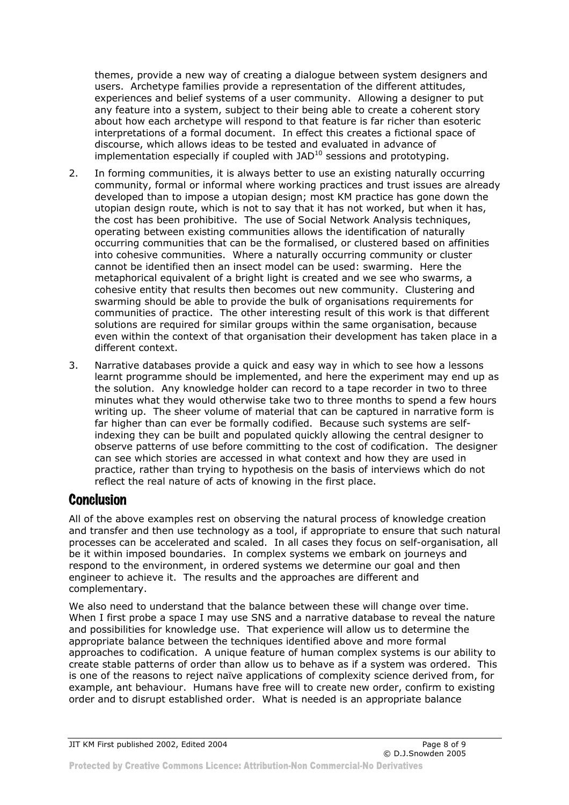themes, provide a new way of creating a dialogue between system designers and users. Archetype families provide a representation of the different attitudes, experiences and belief systems of a user community. Allowing a designer to put any feature into a system, subject to their being able to create a coherent story about how each archetype will respond to that feature is far richer than esoteric interpretations of a formal document. In effect this creates a fictional space of discourse, which allows ideas to be tested and evaluated in advance of implementation especially if coupled with  $JAD^{10}$  sessions and prototyping.

- 2. In forming communities, it is always better to use an existing naturally occurring community, formal or informal where working practices and trust issues are already developed than to impose a utopian design; most KM practice has gone down the utopian design route, which is not to say that it has not worked, but when it has, the cost has been prohibitive. The use of Social Network Analysis techniques, operating between existing communities allows the identification of naturally occurring communities that can be the formalised, or clustered based on affinities into cohesive communities. Where a naturally occurring community or cluster cannot be identified then an insect model can be used: swarming. Here the metaphorical equivalent of a bright light is created and we see who swarms, a cohesive entity that results then becomes out new community. Clustering and swarming should be able to provide the bulk of organisations requirements for communities of practice. The other interesting result of this work is that different solutions are required for similar groups within the same organisation, because even within the context of that organisation their development has taken place in a different context.
- 3. Narrative databases provide a quick and easy way in which to see how a lessons learnt programme should be implemented, and here the experiment may end up as the solution. Any knowledge holder can record to a tape recorder in two to three minutes what they would otherwise take two to three months to spend a few hours writing up. The sheer volume of material that can be captured in narrative form is far higher than can ever be formally codified. Because such systems are selfindexing they can be built and populated quickly allowing the central designer to observe patterns of use before committing to the cost of codification. The designer can see which stories are accessed in what context and how they are used in practice, rather than trying to hypothesis on the basis of interviews which do not reflect the real nature of acts of knowing in the first place.

### **Conclusion**

All of the above examples rest on observing the natural process of knowledge creation and transfer and then use technology as a tool, if appropriate to ensure that such natural processes can be accelerated and scaled. In all cases they focus on self-organisation, all be it within imposed boundaries. In complex systems we embark on journeys and respond to the environment, in ordered systems we determine our goal and then engineer to achieve it. The results and the approaches are different and complementary.

We also need to understand that the balance between these will change over time. When I first probe a space I may use SNS and a narrative database to reveal the nature and possibilities for knowledge use. That experience will allow us to determine the appropriate balance between the techniques identified above and more formal approaches to codification. A unique feature of human complex systems is our ability to create stable patterns of order than allow us to behave as if a system was ordered. This is one of the reasons to reject naïve applications of complexity science derived from, for example, ant behaviour. Humans have free will to create new order, confirm to existing order and to disrupt established order. What is needed is an appropriate balance